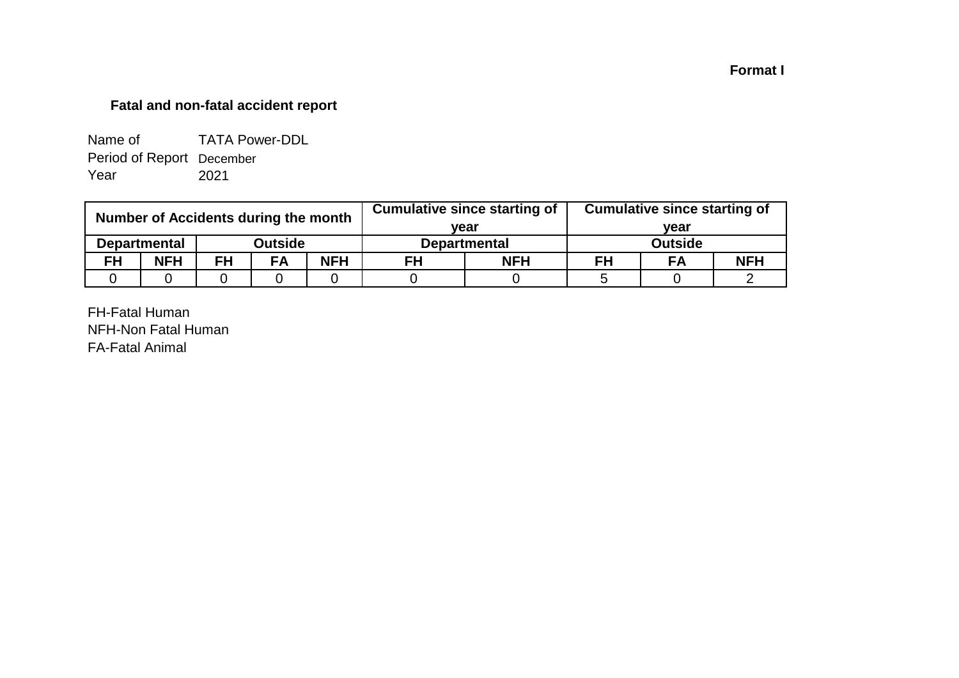## **Format I**

## **Fatal and non-fatal accident report**

| Name of                   | <b>TATA Power-DDL</b> |
|---------------------------|-----------------------|
| Period of Report December |                       |
| Year                      | 2021                  |

| Number of Accidents during the month |                     |           |                |            |                  | <b>Cumulative since starting of</b> | <b>Cumulative since starting of</b> |    |            |  |
|--------------------------------------|---------------------|-----------|----------------|------------|------------------|-------------------------------------|-------------------------------------|----|------------|--|
|                                      |                     |           | vear           |            | vear             |                                     |                                     |    |            |  |
|                                      | <b>Departmental</b> |           | <b>Outside</b> |            |                  | <b>Departmental</b>                 | <b>Outside</b>                      |    |            |  |
| <b>FH</b>                            | <b>NFH</b>          | <b>FH</b> | <b>FA</b>      | <b>NFH</b> | <b>NFH</b><br>FH |                                     | FH                                  | FA | <b>NFH</b> |  |
|                                      |                     |           |                |            |                  |                                     |                                     |    |            |  |

FH-Fatal Human NFH-Non Fatal Human FA-Fatal Animal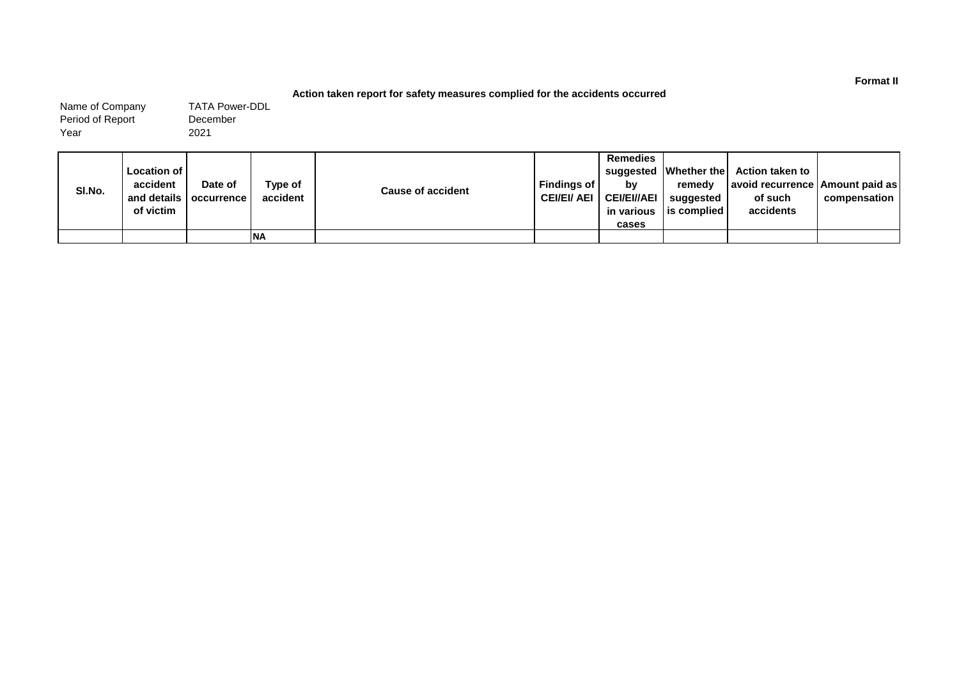#### **Action taken report for safety measures complied for the accidents occurred**

Name of Company Period of Report Year

December 2021 TATA Power-DDL

| SI.No. | Location of I<br>accident<br>of victim | Date of<br>and details   occurrence | Type of<br>accident | <b>Cause of accident</b> | Findings of<br><b>CEI/EI/ AEI</b> | <b>Remedies</b><br>bv<br><b>CEI/EI//AEI</b><br>in various<br>cases | remedy<br>suggested<br><b>is complied</b> | suggested   Whether the   Action taken to<br>  avoid recurrence   Amount paid as  <br>of such<br>accidents | compensation |
|--------|----------------------------------------|-------------------------------------|---------------------|--------------------------|-----------------------------------|--------------------------------------------------------------------|-------------------------------------------|------------------------------------------------------------------------------------------------------------|--------------|
|        |                                        |                                     | <b>INA</b>          |                          |                                   |                                                                    |                                           |                                                                                                            |              |

**Format II**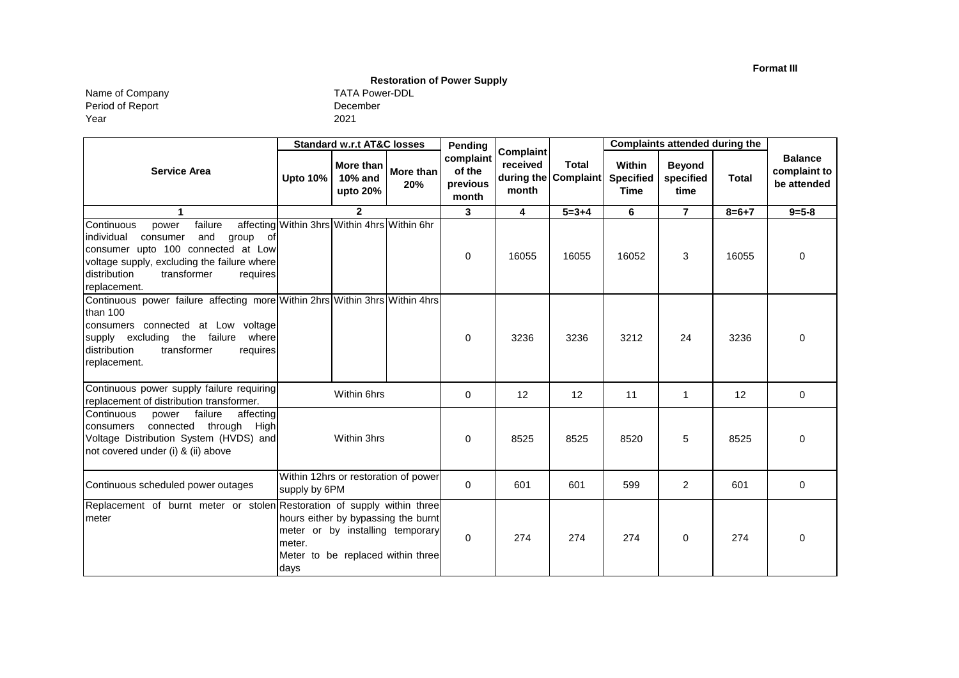**Format III**

## **Restoration of Power Supply**

Name of Company TATA Power-DDL Period of Report Year

| TATA Power-D |  |
|--------------|--|
| December     |  |
| 2021         |  |

|                                                                                                                                                                                                                                | <b>Standard w.r.t AT&amp;C losses</b> |                                                                                                              | Pending          | <b>Complaint</b>                         |                   | <b>Complaints attended during the</b> |                                           |                                    |              |                                               |
|--------------------------------------------------------------------------------------------------------------------------------------------------------------------------------------------------------------------------------|---------------------------------------|--------------------------------------------------------------------------------------------------------------|------------------|------------------------------------------|-------------------|---------------------------------------|-------------------------------------------|------------------------------------|--------------|-----------------------------------------------|
| <b>Service Area</b>                                                                                                                                                                                                            | <b>Upto 10%</b>                       | More than<br>10% and<br>upto 20%                                                                             | More than<br>20% | complaint<br>of the<br>previous<br>month | received<br>month | <b>Total</b><br>during the Complaint  | Within<br><b>Specified</b><br><b>Time</b> | <b>Beyond</b><br>specified<br>time | <b>Total</b> | <b>Balance</b><br>complaint to<br>be attended |
| 1                                                                                                                                                                                                                              |                                       | $\mathbf{2}$                                                                                                 |                  | 3                                        | 4                 | $5 = 3 + 4$                           | 6                                         | $\overline{7}$                     | $8 = 6 + 7$  | $9 = 5 - 8$                                   |
| Continuous<br>failure<br>power<br>and<br>individual<br>consumer<br>group of<br>consumer upto 100 connected at Low<br>voltage supply, excluding the failure where<br>distribution<br>transformer<br>requires<br>replacement.    |                                       | affecting Within 3hrs Within 4hrs Within 6hr                                                                 |                  | $\mathbf 0$                              | 16055             | 16055                                 | 16052                                     | 3                                  | 16055        | 0                                             |
| Continuous power failure affecting more Within 2hrs Within 3hrs Within 4hrs<br>than 100<br>consumers connected at Low voltage<br>supply excluding the failure where<br>transformer<br>distribution<br>requires<br>replacement. |                                       |                                                                                                              |                  | $\mathbf 0$                              | 3236              | 3236                                  | 3212                                      | 24                                 | 3236         | $\mathbf 0$                                   |
| Continuous power supply failure requiring<br>replacement of distribution transformer.                                                                                                                                          |                                       | Within 6hrs                                                                                                  |                  | $\mathbf 0$                              | 12                | 12                                    | 11                                        | $\mathbf{1}$                       | 12           | $\mathbf 0$                                   |
| failure<br>affecting<br>Continuous<br>power<br>connected through High<br>consumers<br>Voltage Distribution System (HVDS) and<br>not covered under (i) & (ii) above                                                             |                                       | Within 3hrs                                                                                                  |                  | $\Omega$                                 | 8525              | 8525                                  | 8520                                      | 5                                  | 8525         | $\Omega$                                      |
| Continuous scheduled power outages                                                                                                                                                                                             |                                       | Within 12hrs or restoration of power<br>supply by 6PM                                                        |                  | $\Omega$                                 | 601               | 601                                   | 599                                       | $\overline{2}$                     | 601          | $\Omega$                                      |
| Replacement of burnt meter or stolen Restoration of supply within three<br>meter                                                                                                                                               | meter.<br>days                        | hours either by bypassing the burnt<br>meter or by installing temporary<br>Meter to be replaced within three |                  | $\Omega$                                 | 274               | 274                                   | 274                                       | 0                                  | 274          | 0                                             |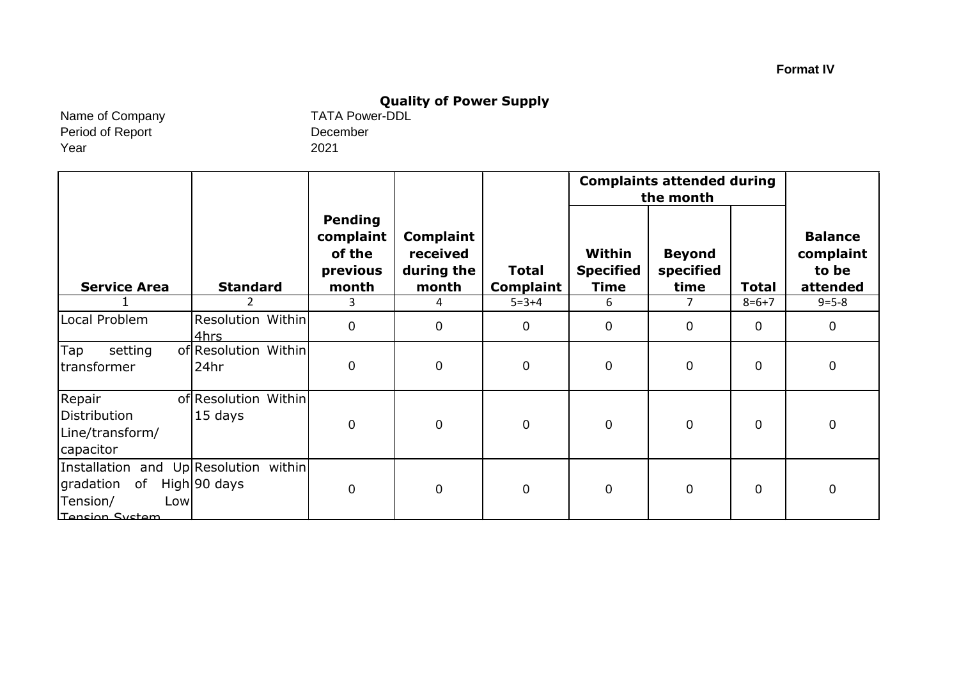# **Quality of Power Supply**<br>TATA Power-DDL

Name of Company Period of Report Year

December 2021

|                                                                                                      |                                 |                                                     |                                                     |                                  | <b>Complaints attended during</b><br>the month |                                    |                |                                                  |
|------------------------------------------------------------------------------------------------------|---------------------------------|-----------------------------------------------------|-----------------------------------------------------|----------------------------------|------------------------------------------------|------------------------------------|----------------|--------------------------------------------------|
| <b>Service Area</b>                                                                                  | <b>Standard</b>                 | Pending<br>complaint<br>of the<br>previous<br>month | <b>Complaint</b><br>received<br>during the<br>month | <b>Total</b><br><b>Complaint</b> | Within<br><b>Specified</b><br><b>Time</b>      | <b>Beyond</b><br>specified<br>time | <b>Total</b>   | <b>Balance</b><br>complaint<br>to be<br>attended |
|                                                                                                      | 2                               | 3                                                   | 4                                                   | $5 = 3 + 4$                      | 6                                              | 7                                  | $8=6+7$        | $9 = 5 - 8$                                      |
| Local Problem                                                                                        | Resolution Within<br>4hrs       | $\mathbf 0$                                         | $\pmb{0}$                                           | $\mathbf 0$                      | $\overline{0}$                                 | $\overline{0}$                     | $\Omega$       | $\mathbf 0$                                      |
| Tap<br>setting<br>transformer                                                                        | of Resolution Within<br>24hr    | 0                                                   | $\mathbf 0$                                         | $\pmb{0}$                        | $\mathbf 0$                                    | 0                                  | $\mathbf 0$    | $\mathbf 0$                                      |
| Repair<br>Distribution<br>Line/transform/<br>capacitor                                               | of Resolution Within<br>15 days | 0                                                   | $\boldsymbol{0}$                                    | $\mathbf 0$                      | $\overline{0}$                                 | $\overline{0}$                     | $\overline{0}$ | $\mathbf 0$                                      |
| Installation and Up Resolution within<br>of<br>gradation<br>Tension/<br>Low<br><b>Tension System</b> | High 90 days                    | 0                                                   | $\pmb{0}$                                           | $\mathbf 0$                      | $\overline{0}$                                 | $\overline{0}$                     | 0              | $\mathbf 0$                                      |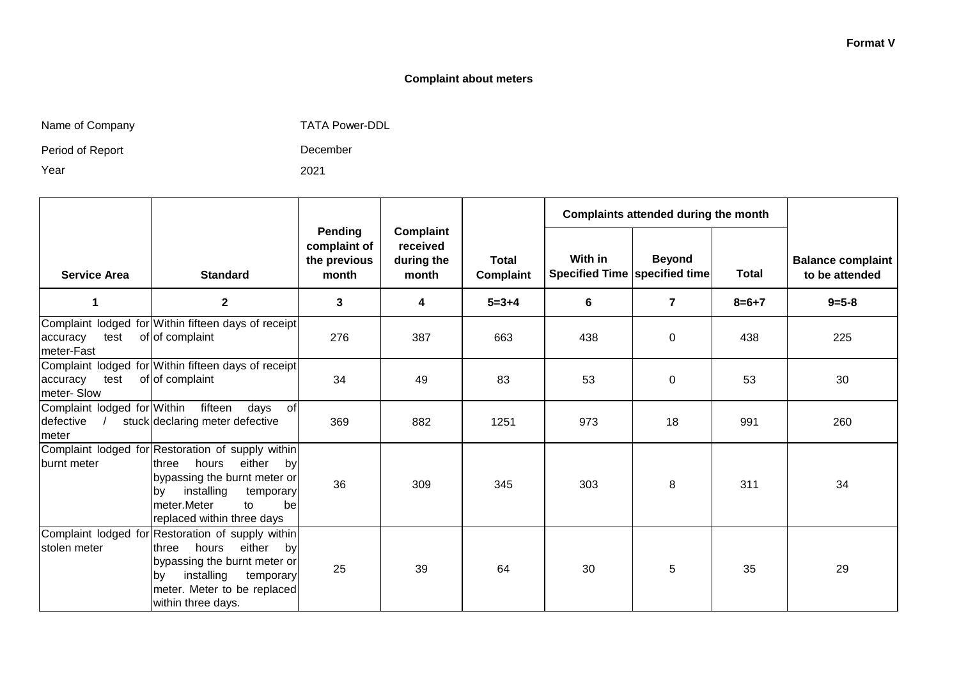#### **Format V**

#### **Complaint about meters**

| Name of Company |  |
|-----------------|--|
|-----------------|--|

any any the Company TATA Power-DDL

December

2021

Period of Report

Year

|                                                   |                                                                                                                                                                                                                           |                                                  |                                              |                                  | Complaints attended during the month       |                |              |                                            |
|---------------------------------------------------|---------------------------------------------------------------------------------------------------------------------------------------------------------------------------------------------------------------------------|--------------------------------------------------|----------------------------------------------|----------------------------------|--------------------------------------------|----------------|--------------|--------------------------------------------|
| <b>Service Area</b>                               | <b>Standard</b>                                                                                                                                                                                                           | Pending<br>complaint of<br>the previous<br>month | Complaint<br>received<br>during the<br>month | <b>Total</b><br><b>Complaint</b> | With in<br>Specified Time   specified time | <b>Beyond</b>  | <b>Total</b> | <b>Balance complaint</b><br>to be attended |
| 1                                                 | $\overline{\mathbf{2}}$                                                                                                                                                                                                   | 3                                                | 4                                            | $5 = 3 + 4$                      | 6                                          | $\overline{7}$ | $8 = 6 + 7$  | $9 = 5 - 8$                                |
| test<br>accuracy<br>meter-Fast                    | Complaint lodged for Within fifteen days of receipt<br>of of complaint                                                                                                                                                    | 276                                              | 387                                          | 663                              | 438                                        | $\mathbf 0$    | 438          | 225                                        |
| test<br>accuracy<br>meter-Slow                    | Complaint lodged for Within fifteen days of receipt<br>of of complaint                                                                                                                                                    | 34                                               | 49                                           | 83                               | 53                                         | 0              | 53           | 30                                         |
| Complaint lodged for Within<br>defective<br>meter | fifteen<br>days<br>of<br>stuck declaring meter defective                                                                                                                                                                  | 369                                              | 882                                          | 1251                             | 973                                        | 18             | 991          | 260                                        |
| burnt meter                                       | Complaint lodged for Restoration of supply within<br>either<br>hours<br>three<br>by<br>bypassing the burnt meter or<br>installing<br>temporary<br>bv<br>meter.Meter<br>$\mathsf{to}$<br>bel<br>replaced within three days | 36                                               | 309                                          | 345                              | 303                                        | 8              | 311          | 34                                         |
| stolen meter                                      | Complaint lodged for Restoration of supply within<br>either<br>hours<br>three<br>by<br>bypassing the burnt meter or<br>installing<br>temporary<br>by<br>meter. Meter to be replaced<br>within three days.                 | 25                                               | 39                                           | 64                               | 30                                         | 5              | 35           | 29                                         |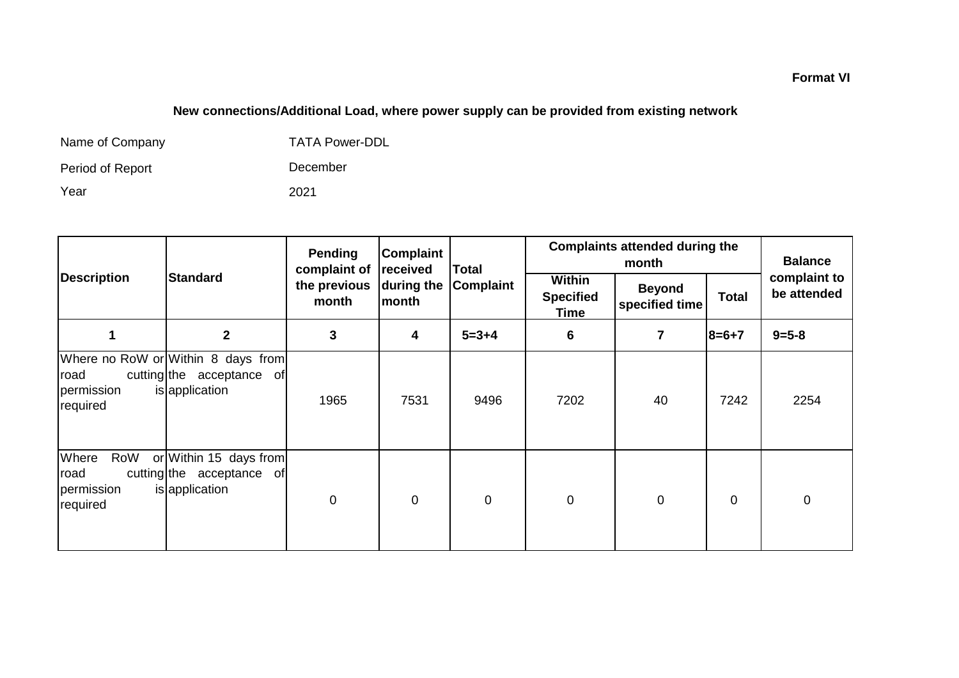## **New connections/Additional Load, where power supply can be provided from existing network**

| Name of Company  | <b>TATA Power-DDL</b> |
|------------------|-----------------------|
| Period of Report | December              |
| Year             | 2021                  |

|                                                |                                                                                      | Pending<br>complaint of | <b>Complaint</b><br>received | <b>Total</b> | <b>Complaints attended during the</b>            | <b>Balance</b>                  |              |                             |
|------------------------------------------------|--------------------------------------------------------------------------------------|-------------------------|------------------------------|--------------|--------------------------------------------------|---------------------------------|--------------|-----------------------------|
| <b>Description</b>                             | <b>Standard</b>                                                                      | the previous<br>month   | during the<br>month          | Complaint    | <b>Within</b><br><b>Specified</b><br><b>Time</b> | <b>Beyond</b><br>specified time | <b>Total</b> | complaint to<br>be attended |
|                                                | $\mathbf{2}$                                                                         | 3                       | 4                            | $5 = 3 + 4$  | 6                                                | 7                               | $8 = 6 + 7$  | $9 = 5 - 8$                 |
| road<br>permission<br>required                 | Where no RoW or Within 8 days from<br>cutting the acceptance<br>of<br>is application | 1965                    | 7531                         | 9496         | 7202                                             | 40                              | 7242         | 2254                        |
| Where<br>RoW<br>road<br>permission<br>required | or Within 15 days from<br>cutting the acceptance of<br>is application                | 0                       | $\mathbf 0$                  | $\mathbf 0$  | 0                                                | $\mathbf 0$                     | $\mathbf 0$  | $\mathbf 0$                 |

**Format VI**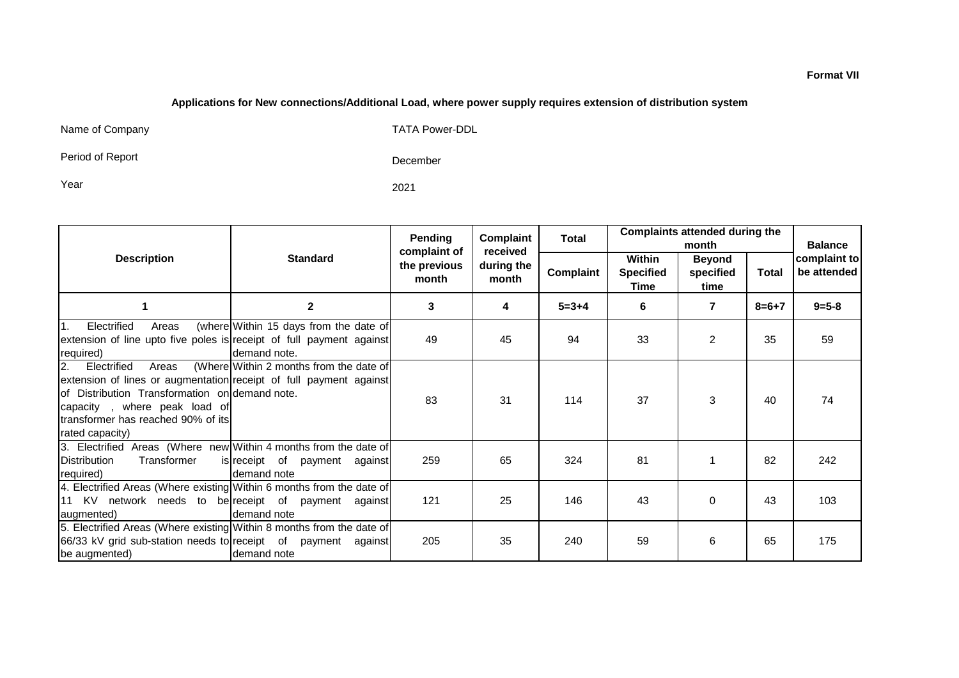#### **Applications for New connections/Additional Load, where power supply requires extension of distribution system**

Name of Company TATA Power-DDL

Period of Report

December

Year 2021

|                                                                                                                                                                                                                                              |                                                        | Pending                               | Complaint                       | <b>Complaints attended during the</b><br>Total<br>month |                                    | <b>Balance</b>                     |              |                             |
|----------------------------------------------------------------------------------------------------------------------------------------------------------------------------------------------------------------------------------------------|--------------------------------------------------------|---------------------------------------|---------------------------------|---------------------------------------------------------|------------------------------------|------------------------------------|--------------|-----------------------------|
| <b>Description</b>                                                                                                                                                                                                                           | <b>Standard</b>                                        | complaint of<br>the previous<br>month | received<br>during the<br>month | Complaint                                               | Within<br><b>Specified</b><br>Time | <b>Beyond</b><br>specified<br>time | <b>Total</b> | complaint to<br>be attended |
|                                                                                                                                                                                                                                              | $\mathbf 2$                                            | 3                                     | 4                               | $5 = 3 + 4$                                             | 6                                  | 7                                  | $8 = 6 + 7$  | $9 = 5 - 8$                 |
| Electrified<br>$\mathbf{1}$ .<br>Areas<br>extension of line upto five poles is receipt of full payment against<br>required)                                                                                                                  | (where Within 15 days from the date of<br>demand note. | 49                                    | 45                              | 94                                                      | 33                                 | $\overline{2}$                     | 35           | 59                          |
| I2.<br>Electrified<br>Areas<br>extension of lines or augmentation receipt of full payment against<br>of Distribution Transformation on demand note.<br>capacity, where peak load of<br>transformer has reached 90% of its<br>rated capacity) | (Where Within 2 months from the date of                | 83                                    | 31                              | 114                                                     | 37                                 | 3                                  | 40           | 74                          |
| 3. Electrified Areas (Where new Within 4 months from the date of<br>Distribution<br>Transformer<br>required)                                                                                                                                 | is receipt of<br>payment against<br>demand note        | 259                                   | 65                              | 324                                                     | 81                                 |                                    | 82           | 242                         |
| 4. Electrified Areas (Where existing Within 6 months from the date of<br>11 KV network needs to be receipt of payment against<br>augmented)                                                                                                  | demand note                                            | 121                                   | 25                              | 146                                                     | 43                                 | $\Omega$                           | 43           | 103                         |
| 5. Electrified Areas (Where existing Within 8 months from the date of<br>66/33 kV grid sub-station needs to receipt of payment against<br>be augmented)                                                                                      | demand note                                            | 205                                   | 35                              | 240                                                     | 59                                 | 6                                  | 65           | 175                         |

#### **Format VII**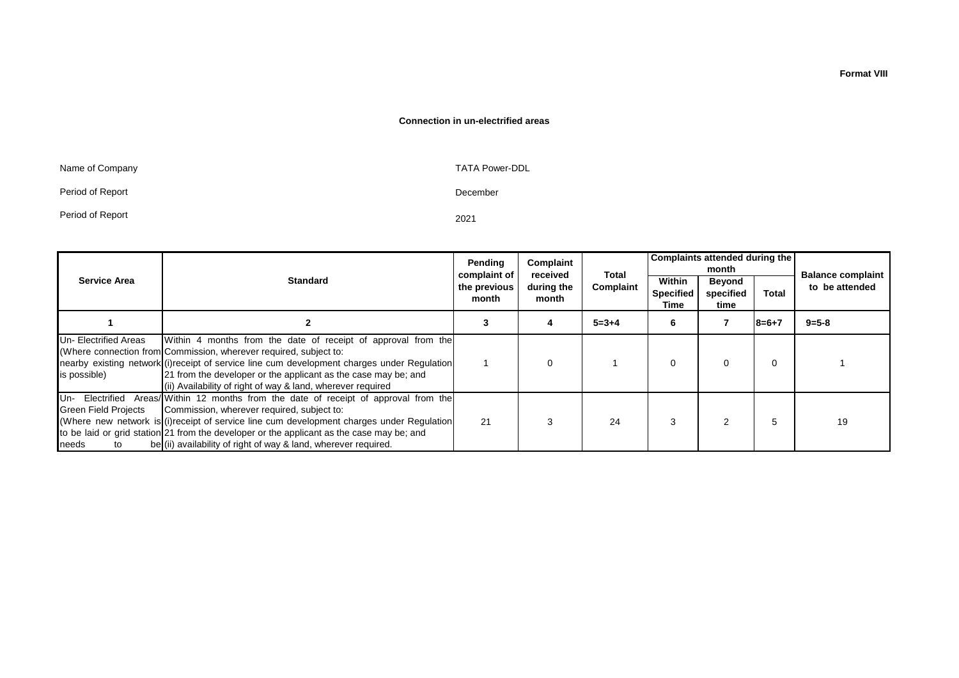#### **Connection in un-electrified areas**

| Name of Company  |  |
|------------------|--|
| Period of Report |  |

Period of Report

TATA Power-DDL

2021

December

|                                            |                                                                                                                                                                                                                                                                                                                                                                                                   | Pending<br>complaint of | Complaint           | Total<br>received | Complaints attended during the<br>month |                             |              | <b>Balance complaint</b> |
|--------------------------------------------|---------------------------------------------------------------------------------------------------------------------------------------------------------------------------------------------------------------------------------------------------------------------------------------------------------------------------------------------------------------------------------------------------|-------------------------|---------------------|-------------------|-----------------------------------------|-----------------------------|--------------|--------------------------|
| <b>Service Area</b>                        | <b>Standard</b>                                                                                                                                                                                                                                                                                                                                                                                   | the previous<br>month   | during the<br>month | Complaint         | Within<br><b>Specified</b><br>Time      | Beyond<br>specified<br>time | Total        | to be attended           |
|                                            |                                                                                                                                                                                                                                                                                                                                                                                                   | 3                       |                     | $5 = 3 + 4$       | 6                                       |                             | $18 = 6 + 7$ | $9 = 5 - 8$              |
| Un- Electrified Areas<br>is possible)      | Within 4 months from the date of receipt of approval from the<br>(Where connection from Commission, wherever required, subject to:<br>nearby existing network (i) receipt of service line cum development charges under Regulation<br>21 from the developer or the applicant as the case may be; and<br>(ii) Availability of right of way & land, wherever required                               |                         |                     |                   | $\Omega$                                | 0                           | 0            |                          |
| <b>Green Field Projects</b><br>needs<br>to | Un- Electrified Areas/ Within 12 months from the date of receipt of approval from the<br>Commission, wherever required, subject to:<br>(Where new network is (i) receipt of service line cum development charges under Regulation<br>to be laid or grid station 21 from the developer or the applicant as the case may be; and<br>be (ii) availability of right of way & land, wherever required. | 21                      |                     | 24                | 3                                       |                             | 5            | 19                       |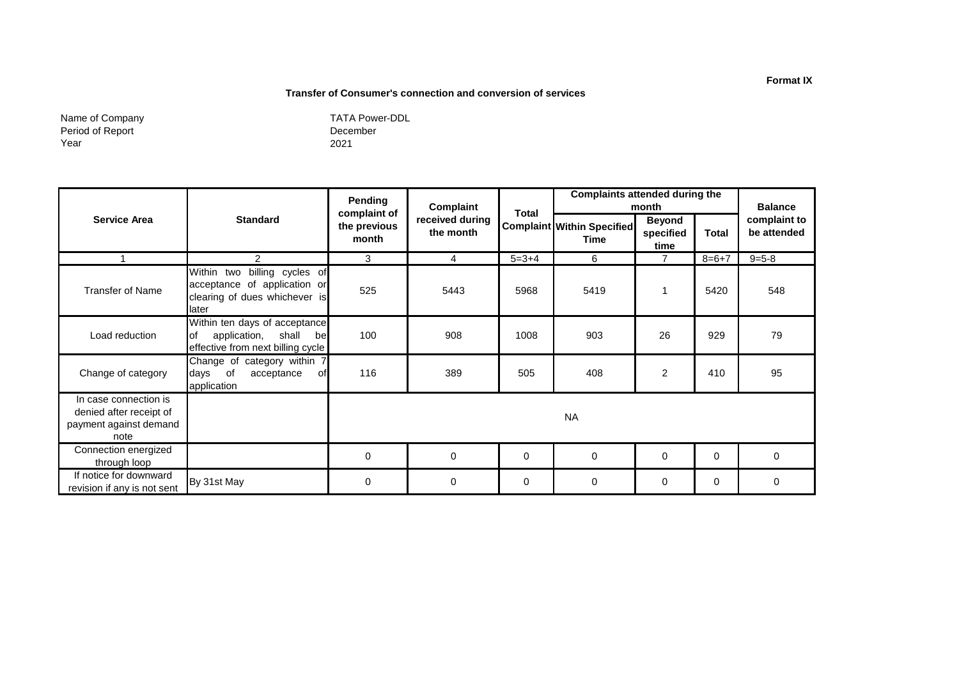#### **Transfer of Consumer's connection and conversion of services**

Name of Company Period of Report Year

December 2021 TATA Power-DDL

|                                                                                    |                                                                                                            | Pending                               | Complaint                    | <b>Total</b> | <b>Complaints attended during the</b><br>month |                                    |          | <b>Balance</b>              |
|------------------------------------------------------------------------------------|------------------------------------------------------------------------------------------------------------|---------------------------------------|------------------------------|--------------|------------------------------------------------|------------------------------------|----------|-----------------------------|
| <b>Service Area</b>                                                                | <b>Standard</b>                                                                                            | complaint of<br>the previous<br>month | received during<br>the month |              | <b>Complaint Within Specified</b><br>Time      | <b>Beyond</b><br>specified<br>time | Total    | complaint to<br>be attended |
|                                                                                    | 2                                                                                                          | 3                                     | $\overline{4}$               | $5 = 3 + 4$  | 6                                              | $\overline{7}$                     | $8=6+7$  | $9 = 5 - 8$                 |
| <b>Transfer of Name</b>                                                            | billing cycles of<br>Within two<br>acceptance of application or<br>clearing of dues whichever is<br>llater | 525                                   | 5443                         | 5968         | 5419                                           |                                    | 5420     | 548                         |
| Load reduction                                                                     | Within ten days of acceptance<br>lof<br>application,<br>shall<br>bel<br>effective from next billing cycle  | 100                                   | 908                          | 1008         | 903                                            | 26                                 | 929      | 79                          |
| Change of category                                                                 | Change of category within 7<br>days of<br>acceptance<br>οf<br>application                                  | 116                                   | 389                          | 505          | 408                                            | $\overline{2}$                     | 410      | 95                          |
| In case connection is<br>denied after receipt of<br>payment against demand<br>note |                                                                                                            |                                       |                              |              | <b>NA</b>                                      |                                    |          |                             |
| Connection energized<br>through loop                                               |                                                                                                            | $\mathbf 0$                           | $\Omega$                     | $\mathbf 0$  | $\Omega$                                       | $\Omega$                           | $\Omega$ | $\Omega$                    |
| If notice for downward<br>revision if any is not sent                              | By 31st May                                                                                                | $\mathbf 0$                           | 0                            | 0            | $\Omega$                                       | 0                                  | 0        | $\Omega$                    |

#### **Format IX**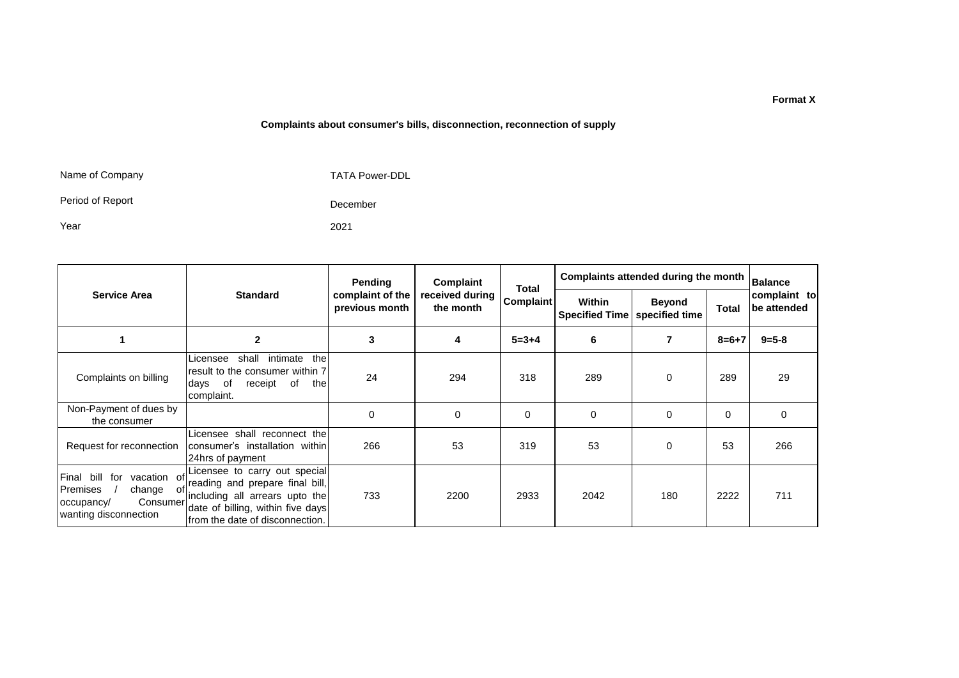#### **Complaints about consumer's bills, disconnection, reconnection of supply**

Name of Company

TATA Power-DDL

Period of Report

Year

2021

December

|                                                                                                           |                                                                                                                                                                            | Pending                            | Complaint                    | Complaints attended during the month<br>Total |                                        |                                 |             | Balance                     |
|-----------------------------------------------------------------------------------------------------------|----------------------------------------------------------------------------------------------------------------------------------------------------------------------------|------------------------------------|------------------------------|-----------------------------------------------|----------------------------------------|---------------------------------|-------------|-----------------------------|
| <b>Service Area</b>                                                                                       | <b>Standard</b>                                                                                                                                                            | complaint of the<br>previous month | received during<br>the month | <b>Complaint</b>                              | <b>Within</b><br><b>Specified Time</b> | <b>Beyond</b><br>specified time | Total       | complaint to<br>be attended |
|                                                                                                           |                                                                                                                                                                            | 3                                  | 4                            | $5 = 3 + 4$                                   | 6                                      |                                 | $8 = 6 + 7$ | $9 = 5 - 8$                 |
| Complaints on billing                                                                                     | intimate<br>the<br>shall<br>Licensee<br>result to the consumer within 7<br>receipt of<br>of<br>thel<br>days<br>complaint.                                                  | 24                                 | 294                          | 318                                           | 289                                    | 0                               | 289         | 29                          |
| Non-Payment of dues by<br>the consumer                                                                    |                                                                                                                                                                            | $\Omega$                           | 0                            | 0                                             | 0                                      | 0                               | 0           | $\Omega$                    |
| Request for reconnection                                                                                  | Licensee shall reconnect the<br>consumer's installation within<br>24hrs of payment                                                                                         | 266                                | 53                           | 319                                           | 53                                     | 0                               | 53          | 266                         |
| Final bill for<br>vacation of<br>Premises<br>change of<br>Consumer<br>occupancy/<br>wanting disconnection | Licensee to carry out special<br>reading and prepare final bill,<br>including all arrears upto the<br>date of billing, within five days<br>from the date of disconnection. | 733                                | 2200                         | 2933                                          | 2042                                   | 180                             | 2222        | 711                         |

#### **Format X**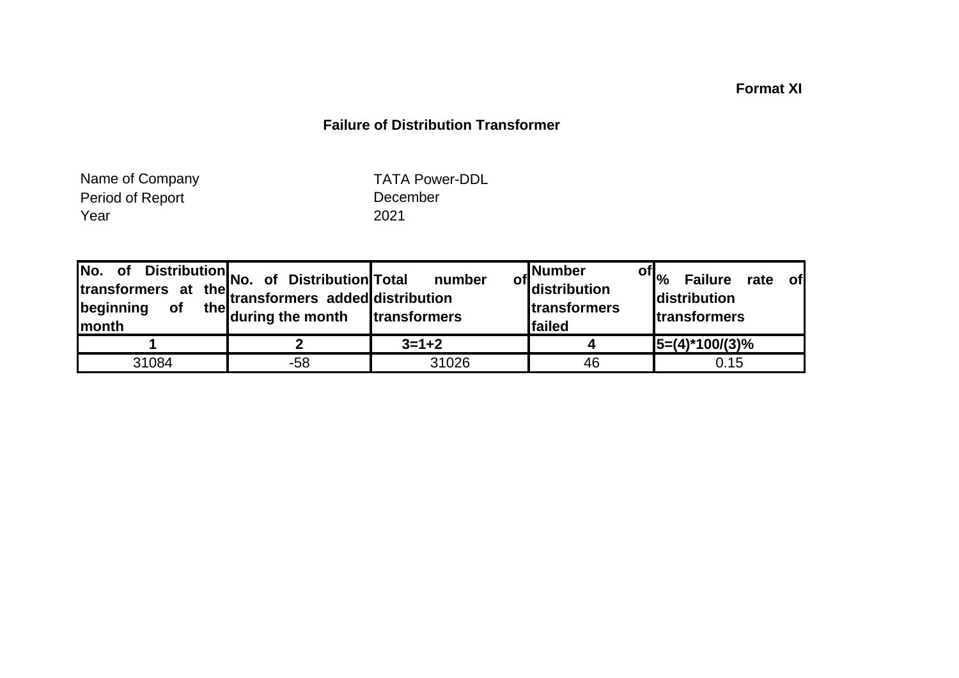## **Format XI**

## **Failure of Distribution Transformer**

Period of Report Year 2021 Name of Company

TATA Power-DDL

| No.<br>of<br>transformers at<br>beginning<br>Imonth | Distribution No. of Distribution Total<br>at the transformers added distribution<br>the during the month | number<br>transformers | , Number<br><sup>of</sup> distribution<br><b>Itransformers</b><br>failed | of $\vert_{\%}$<br><b>Failure</b><br>of l<br>rate<br><b>distribution</b><br><b>transformers</b> |
|-----------------------------------------------------|----------------------------------------------------------------------------------------------------------|------------------------|--------------------------------------------------------------------------|-------------------------------------------------------------------------------------------------|
|                                                     |                                                                                                          | $3 = 1 + 2$            |                                                                          | $15=(4)*100/(3)%$                                                                               |
| 31084                                               | $-58$                                                                                                    | 31026                  | 46                                                                       | 0.15                                                                                            |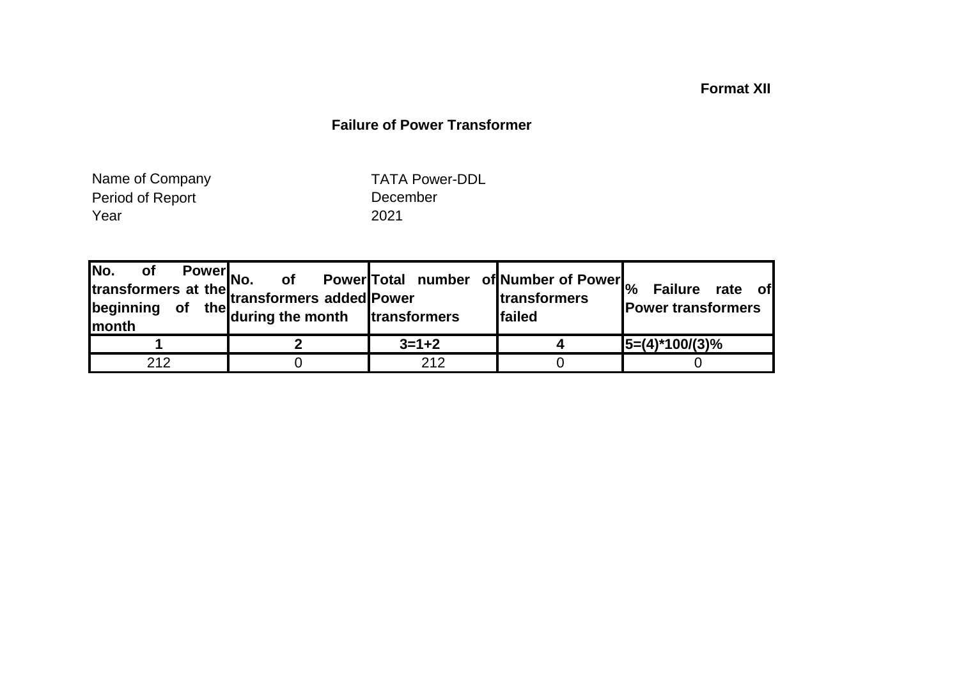## **Format XII**

## **Failure of Power Transformer**

Period of Report Year 2021 Name of Company

TATA Power-DDL

|     | Power<br>No. of Power<br>of the during the month transformers and transformers and transformers | of Power Total number of Number of Power | <b>transformers</b><br><b>Ifailed</b> | <b>Failure</b><br>rate of<br><b>Power transformers</b> |
|-----|-------------------------------------------------------------------------------------------------|------------------------------------------|---------------------------------------|--------------------------------------------------------|
|     |                                                                                                 | $3=1+2$                                  |                                       | $ 5=(4)^*100/(3)\%$                                    |
| 212 |                                                                                                 | 212                                      |                                       |                                                        |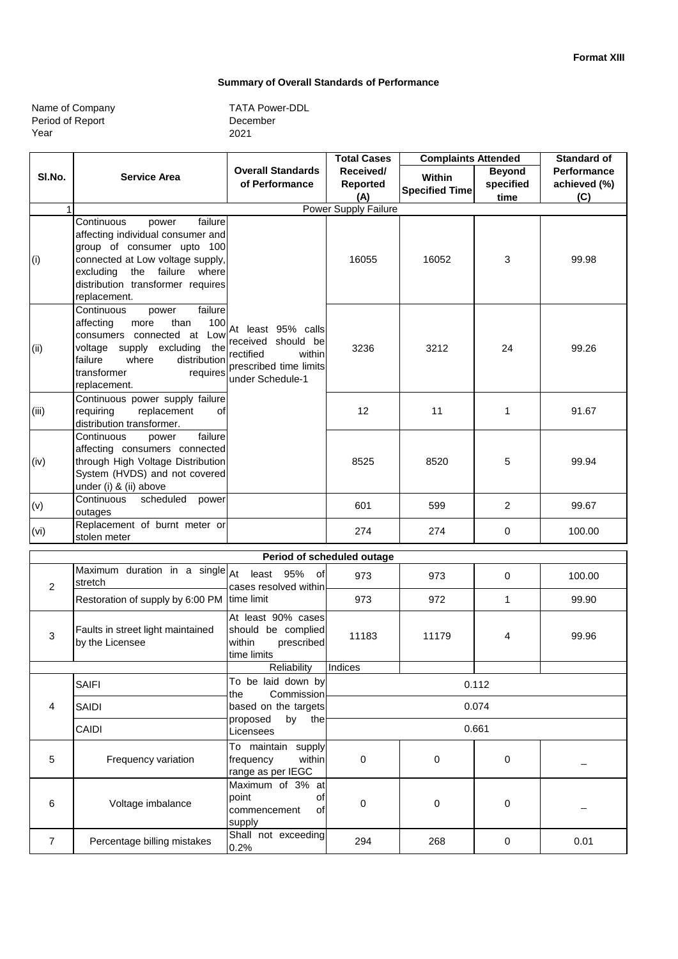#### **Summary of Overall Standards of Performance**

| Name of Company  |  |
|------------------|--|
| Period of Report |  |
| Year             |  |

December 2021 TATA Power-DDL

|                |                                                                                                                                                                                                                              |                                                                                                               | <b>Total Cases</b>          | <b>Complaints Attended</b>      |                            | <b>Standard of</b>                 |
|----------------|------------------------------------------------------------------------------------------------------------------------------------------------------------------------------------------------------------------------------|---------------------------------------------------------------------------------------------------------------|-----------------------------|---------------------------------|----------------------------|------------------------------------|
| SI.No.         | <b>Service Area</b>                                                                                                                                                                                                          | <b>Overall Standards</b><br>of Performance                                                                    | Received/<br>Reported       | Within<br><b>Specified Time</b> | <b>Beyond</b><br>specified | <b>Performance</b><br>achieved (%) |
| 1              |                                                                                                                                                                                                                              |                                                                                                               | (A)<br>Power Supply Failure |                                 | time                       | (C)                                |
| (i)            | failure<br>Continuous<br>power<br>affecting individual consumer and<br>group of consumer upto 100<br>connected at Low voltage supply,<br>the failure where<br>excluding<br>distribution transformer requires<br>replacement. |                                                                                                               | 16055                       | 16052                           | 3                          | 99.98                              |
| (ii)           | Continuous<br>failure<br>power<br>affecting<br>100<br>more<br>than<br>consumers connected at Low<br>voltage supply excluding the<br>failure<br>distribution<br>where<br>transformer<br>requires<br>replacement.              | At least 95% calls<br>received should be<br>rectified<br>within<br>prescribed time limits<br>under Schedule-1 | 3236                        | 3212                            | 24                         | 99.26                              |
| (iii)          | Continuous power supply failure<br>replacement<br>requiring<br>οf<br>distribution transformer.                                                                                                                               |                                                                                                               | 12                          | 11                              | $\mathbf{1}$               | 91.67                              |
| (iv)           | failure<br>Continuous<br>power<br>affecting consumers connected<br>through High Voltage Distribution<br>System (HVDS) and not covered<br>under (i) & (ii) above                                                              |                                                                                                               | 8525                        | 8520                            | 5                          | 99.94                              |
| (v)            | Continuous<br>scheduled<br>power<br>outages                                                                                                                                                                                  |                                                                                                               | 601                         | 599                             | 2                          | 99.67                              |
| (vi)           | Replacement of burnt meter or<br>stolen meter                                                                                                                                                                                |                                                                                                               | 274                         | 274                             | 0                          | 100.00                             |
|                |                                                                                                                                                                                                                              |                                                                                                               | Period of scheduled outage  |                                 |                            |                                    |
| 2              | Maximum duration in a single $A$ t<br>stretch                                                                                                                                                                                | least 95% of<br>cases resolved within                                                                         | 973                         | 973                             | $\mathbf 0$                | 100.00                             |
|                | Restoration of supply by 6:00 PM time limit                                                                                                                                                                                  |                                                                                                               | 973                         | 972                             | 1                          | 99.90                              |
| 3              | Faults in street light maintained<br>by the Licensee                                                                                                                                                                         | At least 90% cases<br>should be complied<br>within<br>prescribed<br>time limits                               | 11183                       | 11179                           | 4                          | 99.96                              |
|                |                                                                                                                                                                                                                              | Reliability                                                                                                   | Indices                     |                                 |                            |                                    |
|                | <b>SAIFI</b>                                                                                                                                                                                                                 | To be laid down by<br>Commission<br>the                                                                       | 0.112                       |                                 |                            |                                    |
| 4              | SAIDI                                                                                                                                                                                                                        | based on the targets<br>by<br>proposed<br>the                                                                 | 0.074                       |                                 |                            |                                    |
|                | CAIDI                                                                                                                                                                                                                        | Licensees                                                                                                     | 0.661                       |                                 |                            |                                    |
| 5              | Frequency variation                                                                                                                                                                                                          | To maintain supply<br>frequency<br>within<br>range as per IEGC                                                | 0                           | 0                               | 0                          |                                    |
| 6              | Voltage imbalance                                                                                                                                                                                                            | Maximum of 3% at<br>point<br>οf<br>commencement<br>οf<br>supply                                               | 0                           | 0                               | 0                          |                                    |
| $\overline{7}$ | Percentage billing mistakes                                                                                                                                                                                                  | Shall not exceeding<br>0.2%                                                                                   | 294                         | 268                             | $\pmb{0}$                  | 0.01                               |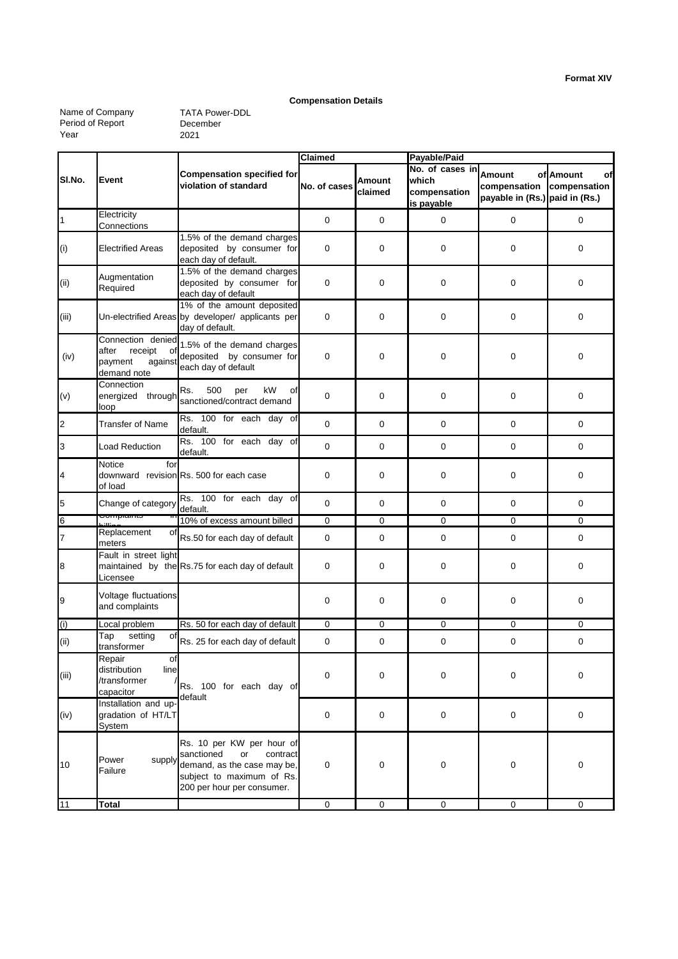#### **Compensation Details**

Name of Company Period of Report Year

December 2021 TATA Power-DDL

|                 | <b>Claimed</b>                                                                   |                                                                                                                                                     |              |                          | Payable/Paid                                           |                                                                              |                 |  |
|-----------------|----------------------------------------------------------------------------------|-----------------------------------------------------------------------------------------------------------------------------------------------------|--------------|--------------------------|--------------------------------------------------------|------------------------------------------------------------------------------|-----------------|--|
| SI.No.          | Event                                                                            | <b>Compensation specified for</b><br>violation of standard                                                                                          | No. of cases | <b>Amount</b><br>claimed | No. of cases in<br>which<br>compensation<br>is payable | <b>Amount</b><br>compensation compensation<br>payable in (Rs.) paid in (Rs.) | of Amount<br>οf |  |
| $\mathbf 1$     | Electricity<br>Connections                                                       |                                                                                                                                                     | 0            | 0                        | 0                                                      | 0                                                                            | 0               |  |
| (i)             | Electrified Areas                                                                | 1.5% of the demand charges<br>deposited by consumer for<br>each day of default.                                                                     | 0            | $\mathbf 0$              | $\mathbf 0$                                            | 0                                                                            | $\mathbf 0$     |  |
| (ii)            | Augmentation<br>Required                                                         | 1.5% of the demand charges<br>deposited by consumer for<br>each day of default                                                                      | 0            | $\mathbf 0$              | $\mathbf 0$                                            | 0                                                                            | 0               |  |
| (iii)           |                                                                                  | 1% of the amount deposited<br>Un-electrified Areas by developer/ applicants per<br>day of default.                                                  | 0            | $\mathbf 0$              | $\mathbf 0$                                            | 0                                                                            | $\mathbf 0$     |  |
| (iv)            | Connection denied<br>receipt<br>after<br>οf<br>payment<br>against<br>demand note | 1.5% of the demand charges<br>deposited by consumer for<br>each day of default                                                                      | 0            | $\mathbf 0$              | $\mathbf 0$                                            | 0                                                                            | 0               |  |
| (v)             | Connection<br>energized through<br>loop                                          | Rs.<br>500<br>kW<br>per<br>οf<br>sanctioned/contract demand                                                                                         | 0            | $\mathbf 0$              | $\mathbf 0$                                            | 0                                                                            | $\mathbf 0$     |  |
| $\overline{c}$  | <b>Transfer of Name</b>                                                          | Rs. 100 for each day of<br>default.                                                                                                                 | 0            | $\mathbf 0$              | $\mathbf 0$                                            | 0                                                                            | 0               |  |
| 3               | Load Reduction                                                                   | Rs. 100 for each day of<br>default.                                                                                                                 | $\mathbf 0$  | $\mathbf 0$              | $\mathbf 0$                                            | 0                                                                            | $\mathbf 0$     |  |
| 4               | Notice<br>for<br>of load                                                         | downward revision Rs. 500 for each case                                                                                                             | 0            | $\mathbf 0$              | 0                                                      | 0                                                                            | 0               |  |
| 5               | Change of category                                                               | Rs. 100 for each day of<br>default.                                                                                                                 | $\mathbf 0$  | $\mathbf 0$              | $\mathbf 0$                                            | 0                                                                            | $\mathbf 0$     |  |
| $6\overline{6}$ | Compiaints                                                                       | 10% of excess amount billed                                                                                                                         | $\pmb{0}$    | $\boldsymbol{0}$         | 0                                                      | 0                                                                            | 0               |  |
| $\overline{7}$  | Replacement<br>οf<br>meters                                                      | Rs.50 for each day of default                                                                                                                       | $\mathbf 0$  | $\mathbf 0$              | $\mathbf 0$                                            | 0                                                                            | $\Omega$        |  |
| 8               | Fault in street light<br>Licensee                                                | maintained by the Rs.75 for each day of default                                                                                                     | $\mathbf 0$  | $\mathbf 0$              | $\mathbf 0$                                            | 0                                                                            | $\mathbf 0$     |  |
| 9               | Voltage fluctuations<br>and complaints                                           |                                                                                                                                                     | 0            | $\mathbf 0$              | $\mathbf 0$                                            | 0                                                                            | $\mathbf 0$     |  |
| (i)             | Local problem                                                                    | Rs. 50 for each day of default                                                                                                                      | 0            | $\mathbf 0$              | $\mathbf 0$                                            | 0                                                                            | $\mathbf 0$     |  |
| (i)             | setting<br>Tap<br>οf<br>transformer                                              | Rs. 25 for each day of default                                                                                                                      | 0            | 0                        | 0                                                      | 0                                                                            | 0               |  |
| (iii)           | of<br>Repair<br>distribution<br>line<br>/transformer<br>capacitor                | Rs. 100 for each day of<br>default                                                                                                                  | 0            | 0                        | $\mathbf 0$                                            | 0                                                                            | $\mathbf 0$     |  |
| (iv)            | Installation and up-<br>gradation of HT/LT<br>System                             |                                                                                                                                                     | 0            | 0                        | $\mathbf 0$                                            | 0                                                                            | 0               |  |
| 10              | Power<br>supply<br>Failure                                                       | Rs. 10 per KW per hour of<br>sanctioned<br>contract<br>or<br>demand, as the case may be,<br>subject to maximum of Rs.<br>200 per hour per consumer. | 0            | 0                        | $\mathbf 0$                                            | $\pmb{0}$                                                                    | $\mathbf 0$     |  |
| 11              | <b>Total</b>                                                                     |                                                                                                                                                     | $\mathbf 0$  | $\boldsymbol{0}$         | $\mathbf 0$                                            | 0                                                                            | $\mathbf 0$     |  |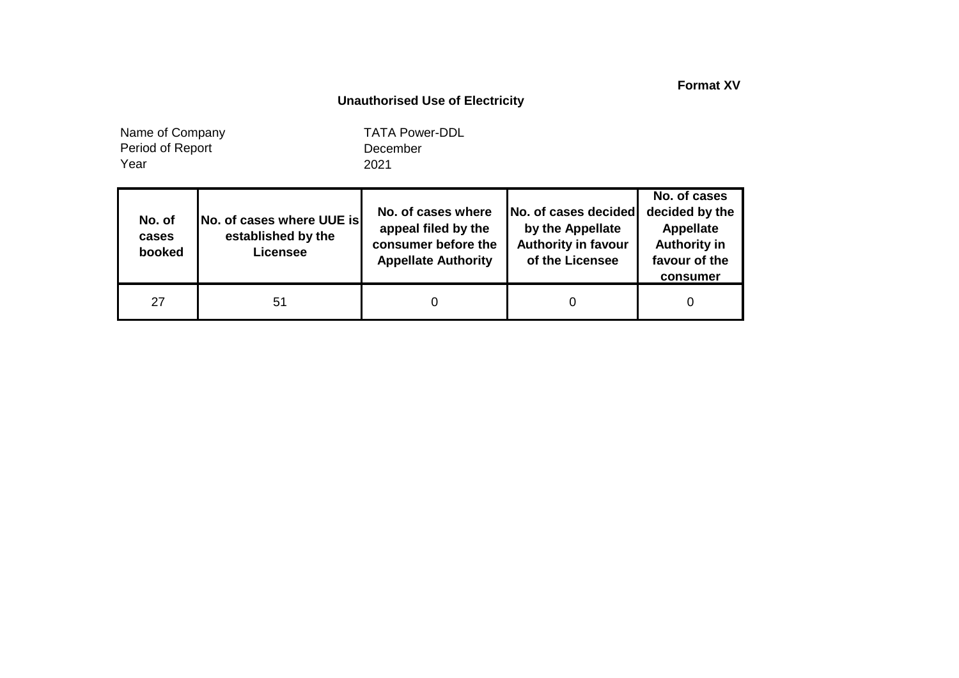**Format XV**

### **Unauthorised Use of Electricity**

Year Name of Company Period of Report

December 2021 TATA Power-DDL

| No. of<br>cases<br>booked | No. of cases where UUE is<br>established by the<br><b>Licensee</b> | No. of cases where<br>appeal filed by the<br>consumer before the<br><b>Appellate Authority</b> | No. of cases decided<br>by the Appellate<br><b>Authority in favour</b><br>of the Licensee | No. of cases<br>decided by the<br>Appellate<br><b>Authority in</b><br>favour of the<br>consumer |
|---------------------------|--------------------------------------------------------------------|------------------------------------------------------------------------------------------------|-------------------------------------------------------------------------------------------|-------------------------------------------------------------------------------------------------|
| 27                        | 51                                                                 |                                                                                                |                                                                                           |                                                                                                 |